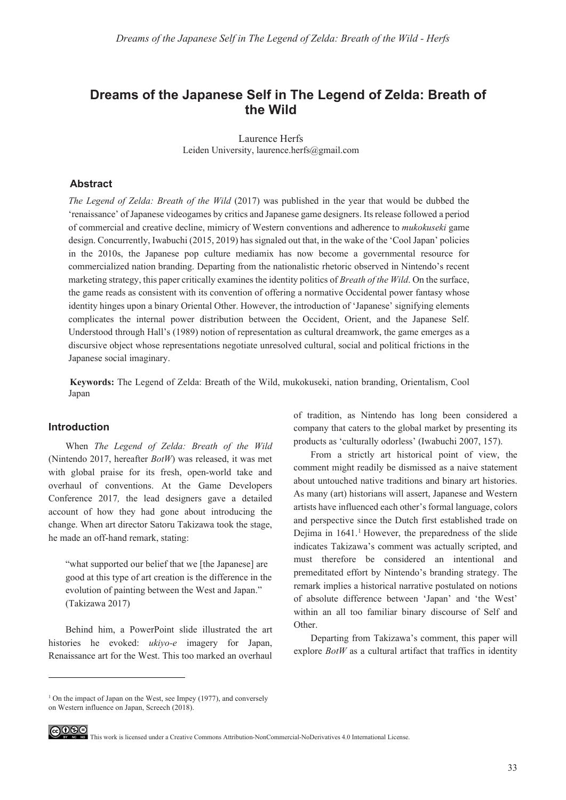# **Dreams of the Japanese Self in The Legend of Zelda: Breath of the Wild**

Laurence Herfs Leiden University, laurence.herfs@gmail.com

## **Abstract**

*The Legend of Zelda: Breath of the Wild* (2017) was published in the year that would be dubbed the 'renaissance' of Japanese videogames by critics and Japanese game designers. Its release followed a period of commercial and creative decline, mimicry of Western conventions and adherence to *mukokuseki* game design. Concurrently, Iwabuchi (2015, 2019) has signaled out that, in the wake of the 'Cool Japan' policies in the 2010s, the Japanese pop culture mediamix has now become a governmental resource for commercialized nation branding. Departing from the nationalistic rhetoric observed in Nintendo's recent marketing strategy, this paper critically examines the identity politics of *Breath of the Wild*. On the surface, the game reads as consistent with its convention of offering a normative Occidental power fantasy whose identity hinges upon a binary Oriental Other. However, the introduction of 'Japanese' signifying elements complicates the internal power distribution between the Occident, Orient, and the Japanese Self. Understood through Hall's (1989) notion of representation as cultural dreamwork, the game emerges as a discursive object whose representations negotiate unresolved cultural, social and political frictions in the Japanese social imaginary.

**Keywords:** The Legend of Zelda: Breath of the Wild, mukokuseki, nation branding, Orientalism, Cool Japan

## **Introduction**

When *The Legend of Zelda: Breath of the Wild*  (Nintendo 2017, hereafter *BotW*) was released, it was met with global praise for its fresh, open-world take and overhaul of conventions. At the Game Developers Conference 2017*,* the lead designers gave a detailed account of how they had gone about introducing the change. When art director Satoru Takizawa took the stage, he made an off-hand remark, stating:

"what supported our belief that we [the Japanese] are good at this type of art creation is the difference in the evolution of painting between the West and Japan." (Takizawa 2017)

Behind him, a PowerPoint slide illustrated the art histories he evoked: *ukiyo-e* imagery for Japan, Renaissance art for the West. This too marked an overhaul of tradition, as Nintendo has long been considered a company that caters to the global market by presenting its products as 'culturally odorless' (Iwabuchi 2007, 157).

From a strictly art historical point of view, the comment might readily be dismissed as a naive statement about untouched native traditions and binary art histories. As many (art) historians will assert, Japanese and Western artists have influenced each other's formal language, colors and perspective since the Dutch first established trade on Dejima in 1641.<sup>1</sup> However, the preparedness of the slide indicates Takizawa's comment was actually scripted, and must therefore be considered an intentional and premeditated effort by Nintendo's branding strategy. The remark implies a historical narrative postulated on notions of absolute difference between 'Japan' and 'the West' within an all too familiar binary discourse of Self and Other.

Departing from Takizawa's comment, this paper will explore *BotW* as a cultural artifact that traffics in identity

 $1$  On the impact of Japan on the West, see Impey (1977), and conversely on Western influence on Japan, Screech (2018).



GOSS This work is licensed under a Creative Commons Attribution-NonCommercial-NoDerivatives 4.0 International License.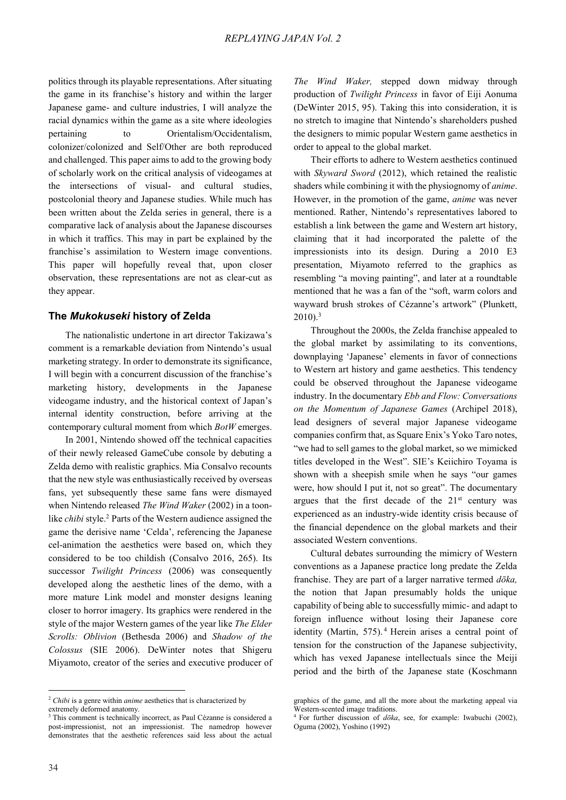politics through its playable representations. After situating the game in its franchise's history and within the larger Japanese game- and culture industries, I will analyze the racial dynamics within the game as a site where ideologies pertaining to Orientalism/Occidentalism, colonizer/colonized and Self/Other are both reproduced and challenged. This paper aims to add to the growing body of scholarly work on the critical analysis of videogames at the intersections of visual- and cultural studies, postcolonial theory and Japanese studies. While much has been written about the Zelda series in general, there is a comparative lack of analysis about the Japanese discourses in which it traffics. This may in part be explained by the franchise's assimilation to Western image conventions. This paper will hopefully reveal that, upon closer observation, these representations are not as clear-cut as they appear.

# **The** *Mukokuseki* **history of Zelda**

The nationalistic undertone in art director Takizawa's comment is a remarkable deviation from Nintendo's usual marketing strategy. In order to demonstrate its significance, I will begin with a concurrent discussion of the franchise's marketing history, developments in the Japanese videogame industry, and the historical context of Japan's internal identity construction, before arriving at the contemporary cultural moment from which *BotW* emerges.

In 2001, Nintendo showed off the technical capacities of their newly released GameCube console by debuting a Zelda demo with realistic graphics. Mia Consalvo recounts that the new style was enthusiastically received by overseas fans, yet subsequently these same fans were dismayed when Nintendo released *The Wind Waker* (2002) in a toonlike *chibi* style.<sup>2</sup> Parts of the Western audience assigned the game the derisive name 'Celda', referencing the Japanese cel-animation the aesthetics were based on, which they considered to be too childish (Consalvo 2016, 265). Its successor *Twilight Princess* (2006) was consequently developed along the aesthetic lines of the demo, with a more mature Link model and monster designs leaning closer to horror imagery. Its graphics were rendered in the style of the major Western games of the year like *The Elder Scrolls: Oblivion* (Bethesda 2006) and *Shadow of the Colossus* (SIE 2006). DeWinter notes that Shigeru Miyamoto, creator of the series and executive producer of

*The Wind Waker,* stepped down midway through production of *Twilight Princess* in favor of Eiji Aonuma (DeWinter 2015, 95). Taking this into consideration, it is no stretch to imagine that Nintendo's shareholders pushed the designers to mimic popular Western game aesthetics in order to appeal to the global market.

Their efforts to adhere to Western aesthetics continued with *Skyward Sword* (2012), which retained the realistic shaders while combining it with the physiognomy of *anime*. However, in the promotion of the game, *anime* was never mentioned. Rather, Nintendo's representatives labored to establish a link between the game and Western art history, claiming that it had incorporated the palette of the impressionists into its design. During a 2010 E3 presentation, Miyamoto referred to the graphics as resembling "a moving painting", and later at a roundtable mentioned that he was a fan of the "soft, warm colors and wayward brush strokes of Cézanne's artwork" (Plunkett,  $2010$ ).<sup>3</sup>

Throughout the 2000s, the Zelda franchise appealed to the global market by assimilating to its conventions, downplaying 'Japanese' elements in favor of connections to Western art history and game aesthetics. This tendency could be observed throughout the Japanese videogame industry. In the documentary *Ebb and Flow: Conversations on the Momentum of Japanese Games* (Archipel 2018), lead designers of several major Japanese videogame companies confirm that, as Square Enix's Yoko Taro notes, "we had to sell games to the global market, so we mimicked titles developed in the West". SIE's Keiichiro Toyama is shown with a sheepish smile when he says "our games were, how should I put it, not so great". The documentary argues that the first decade of the  $21<sup>st</sup>$  century was experienced as an industry-wide identity crisis because of the financial dependence on the global markets and their associated Western conventions.

Cultural debates surrounding the mimicry of Western conventions as a Japanese practice long predate the Zelda franchise. They are part of a larger narrative termed *dǀka,* the notion that Japan presumably holds the unique capability of being able to successfully mimic- and adapt to foreign influence without losing their Japanese core identity (Martin, 575).<sup>4</sup> Herein arises a central point of tension for the construction of the Japanese subjectivity, which has vexed Japanese intellectuals since the Meiji period and the birth of the Japanese state (Koschmann

1

<sup>2</sup> *Chibi* is a genre within *anime* aesthetics that is characterized by

extremely deformed anatomy.

<sup>&</sup>lt;sup>3</sup> This comment is technically incorrect, as Paul Cézanne is considered a post-impressionist, not an impressionist. The namedrop however demonstrates that the aesthetic references said less about the actual

graphics of the game, and all the more about the marketing appeal via Western-scented image traditions.

<sup>&</sup>lt;sup>4</sup> For further discussion of *doka*, see, for example: Iwabuchi (2002), Oguma (2002), Yoshino (1992)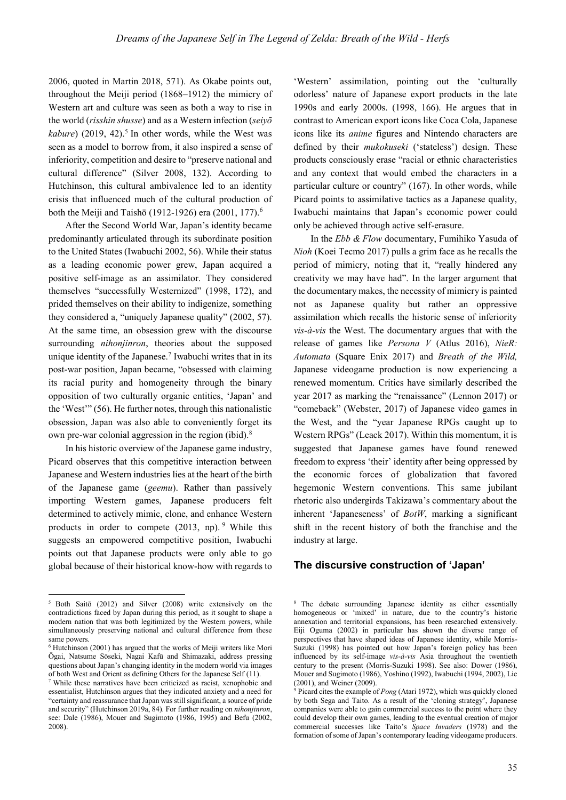2006, quoted in Martin 2018, 571). As Okabe points out, throughout the Meiji period (1868–1912) the mimicry of Western art and culture was seen as both a way to rise in the world (*risshin shusse*) and as a Western infection (*seiy*<sup> $\bar{o}$ </sup> kabure) (2019, 42).<sup>5</sup> In other words, while the West was seen as a model to borrow from, it also inspired a sense of inferiority, competition and desire to "preserve national and cultural difference" (Silver 2008, 132). According to Hutchinson, this cultural ambivalence led to an identity crisis that influenced much of the cultural production of both the Meiji and Taishō (1912-1926) era (2001, 177).<sup>6</sup>

After the Second World War, Japan's identity became predominantly articulated through its subordinate position to the United States (Iwabuchi 2002, 56). While their status as a leading economic power grew, Japan acquired a positive self-image as an assimilator. They considered themselves "successfully Westernized" (1998, 172), and prided themselves on their ability to indigenize, something they considered a, "uniquely Japanese quality" (2002, 57). At the same time, an obsession grew with the discourse surrounding *nihonjinron*, theories about the supposed unique identity of the Japanese.<sup>7</sup> Iwabuchi writes that in its post-war position, Japan became, "obsessed with claiming its racial purity and homogeneity through the binary opposition of two culturally organic entities, 'Japan' and the 'West'" (56). He further notes, through this nationalistic obsession, Japan was also able to conveniently forget its own pre-war colonial aggression in the region (ibid). $8$ 

In his historic overview of the Japanese game industry, Picard observes that this competitive interaction between Japanese and Western industries lies at the heart of the birth of the Japanese game (*geemu*). Rather than passively importing Western games, Japanese producers felt determined to actively mimic, clone, and enhance Western products in order to compete (2013, np). 9 While this suggests an empowered competitive position, Iwabuchi points out that Japanese products were only able to go global because of their historical know-how with regards to

1

'Western' assimilation, pointing out the 'culturally odorless' nature of Japanese export products in the late 1990s and early 2000s. (1998, 166). He argues that in contrast to American export icons like Coca Cola, Japanese icons like its *anime* figures and Nintendo characters are defined by their *mukokuseki* ('stateless') design. These products consciously erase "racial or ethnic characteristics and any context that would embed the characters in a particular culture or country" (167). In other words, while Picard points to assimilative tactics as a Japanese quality, Iwabuchi maintains that Japan's economic power could only be achieved through active self-erasure.

In the *Ebb & Flow* documentary, Fumihiko Yasuda of *Nioh* (Koei Tecmo 2017) pulls a grim face as he recalls the period of mimicry, noting that it, "really hindered any creativity we may have had". In the larger argument that the documentary makes, the necessity of mimicry is painted not as Japanese quality but rather an oppressive assimilation which recalls the historic sense of inferiority *vis-à-vis* the West. The documentary argues that with the release of games like *Persona V* (Atlus 2016), *NieR: Automata* (Square Enix 2017) and *Breath of the Wild,* Japanese videogame production is now experiencing a renewed momentum. Critics have similarly described the year 2017 as marking the "renaissance" (Lennon 2017) or "comeback" (Webster, 2017) of Japanese video games in the West, and the "year Japanese RPGs caught up to Western RPGs" (Leack 2017). Within this momentum, it is suggested that Japanese games have found renewed freedom to express 'their' identity after being oppressed by the economic forces of globalization that favored hegemonic Western conventions. This same jubilant rhetoric also undergirds Takizawa's commentary about the inherent 'Japaneseness' of *BotW*, marking a significant shift in the recent history of both the franchise and the industry at large.

# **The discursive construction of 'Japan'**

<sup>&</sup>lt;sup>5</sup> Both Saitō (2012) and Silver (2008) write extensively on the contradictions faced by Japan during this period, as it sought to shape a modern nation that was both legitimized by the Western powers, while simultaneously preserving national and cultural difference from these same powers.

<sup>&</sup>lt;sup>6</sup> Hutchinson (2001) has argued that the works of Meiji writers like Mori Ōgai, Natsume Sōseki, Nagai Kafū and Shimazaki, address pressing questions about Japan's changing identity in the modern world via images of both West and Orient as defining Others for the Japanese Self (11).

<sup>7</sup> While these narratives have been criticized as racist, xenophobic and essentialist, Hutchinson argues that they indicated anxiety and a need for "certainty and reassurance that Japan was still significant, a source of pride and security" (Hutchinson 2019a, 84). For further reading on *nihonjinron*, see: Dale (1986), Mouer and Sugimoto (1986, 1995) and Befu (2002, 2008).

<sup>8</sup> The debate surrounding Japanese identity as either essentially homogeneous or 'mixed' in nature, due to the country's historic annexation and territorial expansions, has been researched extensively. Eiji Oguma (2002) in particular has shown the diverse range of perspectives that have shaped ideas of Japanese identity, while Morris-Suzuki (1998) has pointed out how Japan's foreign policy has been influenced by its self-image *vis-à-vis* Asia throughout the twentieth century to the present (Morris-Suzuki 1998). See also: Dower (1986), Mouer and Sugimoto (1986), Yoshino (1992), Iwabuchi (1994, 2002), Lie (2001), and Weiner (2009).

<sup>9</sup> Picard cites the example of *Pong* (Atari 1972), which was quickly cloned by both Sega and Taito. As a result of the 'cloning strategy', Japanese companies were able to gain commercial success to the point where they could develop their own games, leading to the eventual creation of major commercial successes like Taito's *Space Invaders* (1978) and the formation of some of Japan's contemporary leading videogame producers.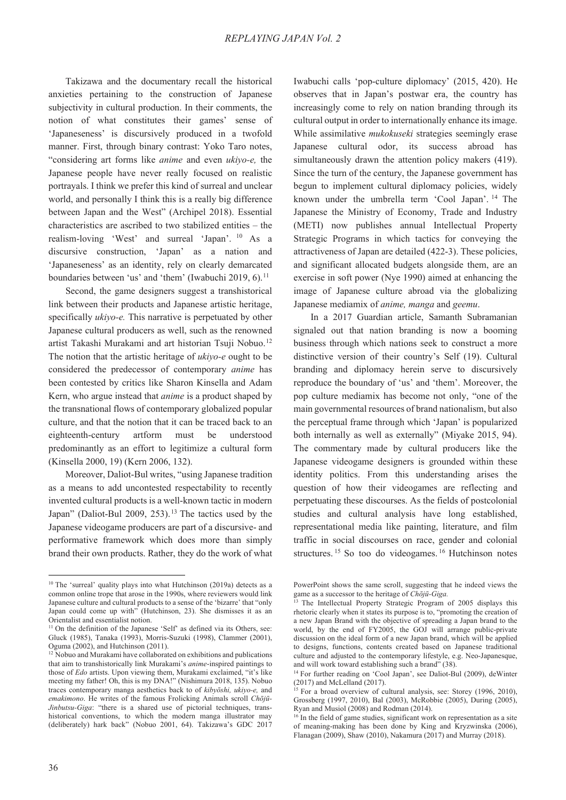Takizawa and the documentary recall the historical anxieties pertaining to the construction of Japanese subjectivity in cultural production. In their comments, the notion of what constitutes their games' sense of 'Japaneseness' is discursively produced in a twofold manner. First, through binary contrast: Yoko Taro notes, "considering art forms like *anime* and even *ukiyo-e,* the Japanese people have never really focused on realistic portrayals. I think we prefer this kind of surreal and unclear world, and personally I think this is a really big difference between Japan and the West" (Archipel 2018). Essential characteristics are ascribed to two stabilized entities – the realism-loving 'West' and surreal 'Japan'. 10 As a discursive construction, 'Japan' as a nation and 'Japaneseness' as an identity, rely on clearly demarcated boundaries between 'us' and 'them' (Iwabuchi 2019,  $6$ ).<sup>11</sup>

Second, the game designers suggest a transhistorical link between their products and Japanese artistic heritage, specifically *ukiyo-e.* This narrative is perpetuated by other Japanese cultural producers as well, such as the renowned artist Takashi Murakami and art historian Tsuji Nobuo.<sup>12</sup> The notion that the artistic heritage of *ukiyo-e* ought to be considered the predecessor of contemporary *anime* has been contested by critics like Sharon Kinsella and Adam Kern, who argue instead that *anime* is a product shaped by the transnational flows of contemporary globalized popular culture, and that the notion that it can be traced back to an eighteenth-century artform must be understood predominantly as an effort to legitimize a cultural form (Kinsella 2000, 19) (Kern 2006, 132).

Moreover, Daliot-Bul writes, "using Japanese tradition as a means to add uncontested respectability to recently invented cultural products is a well-known tactic in modern Japan" (Daliot-Bul 2009, 253).<sup>13</sup> The tactics used by the Japanese videogame producers are part of a discursive- and performative framework which does more than simply brand their own products. Rather, they do the work of what Iwabuchi calls 'pop-culture diplomacy' (2015, 420). He observes that in Japan's postwar era, the country has increasingly come to rely on nation branding through its cultural output in order to internationally enhance its image. While assimilative *mukokuseki* strategies seemingly erase Japanese cultural odor, its success abroad has simultaneously drawn the attention policy makers (419). Since the turn of the century, the Japanese government has begun to implement cultural diplomacy policies, widely known under the umbrella term 'Cool Japan'. 14 The Japanese the Ministry of Economy, Trade and Industry (METI) now publishes annual Intellectual Property Strategic Programs in which tactics for conveying the attractiveness of Japan are detailed (422-3). These policies, and significant allocated budgets alongside them, are an exercise in soft power (Nye 1990) aimed at enhancing the image of Japanese culture abroad via the globalizing Japanese mediamix of *anime, manga* and *geemu*.

In a 2017 Guardian article, Samanth Subramanian signaled out that nation branding is now a booming business through which nations seek to construct a more distinctive version of their country's Self (19). Cultural branding and diplomacy herein serve to discursively reproduce the boundary of 'us' and 'them'. Moreover, the pop culture mediamix has become not only, "one of the main governmental resources of brand nationalism, but also the perceptual frame through which 'Japan' is popularized both internally as well as externally" (Miyake 2015, 94). The commentary made by cultural producers like the Japanese videogame designers is grounded within these identity politics. From this understanding arises the question of how their videogames are reflecting and perpetuating these discourses. As the fields of postcolonial studies and cultural analysis have long established, representational media like painting, literature, and film traffic in social discourses on race, gender and colonial structures. 15 So too do videogames. 16 Hutchinson notes

<sup>&</sup>lt;sup>10</sup> The 'surreal' quality plays into what Hutchinson (2019a) detects as a common online trope that arose in the 1990s, where reviewers would link Japanese culture and cultural products to a sense of the 'bizarre' that "only Japan could come up with" (Hutchinson, 23). She dismisses it as an Orientalist and essentialist notion.

<sup>&</sup>lt;sup>11</sup> On the definition of the Japanese 'Self' as defined via its Others, see: Gluck (1985), Tanaka (1993), Morris-Suzuki (1998), Clammer (2001), Oguma (2002), and Hutchinson (2011).

 $\frac{12}{12}$  Nobuo and Murakami have collaborated on exhibitions and publications that aim to transhistorically link Murakami's *anime*-inspired paintings to those of *Edo* artists. Upon viewing them, Murakami exclaimed, "it's like meeting my father! Oh, this is my DNA!" (Nishimura 2018, 135). Nobuo traces contemporary manga aesthetics back to of *kibyōshi*, ukiyo-e, and *emakimono*. He writes of the famous Frolicking Animals scroll *Chōjū-Jinbutsu-Giga*: "there is a shared use of pictorial techniques, transhistorical conventions, to which the modern manga illustrator may (deliberately) hark back" (Nobuo 2001, 64). Takizawa's GDC 2017

PowerPoint shows the same scroll, suggesting that he indeed views the game as a successor to the heritage of *Chōjū-Giga*.

<sup>&</sup>lt;sup>13</sup> The Intellectual Property Strategic Program of 2005 displays this rhetoric clearly when it states its purpose is to, "promoting the creation of a new Japan Brand with the objective of spreading a Japan brand to the world, by the end of FY2005, the GOJ will arrange public-private discussion on the ideal form of a new Japan brand, which will be applied to designs, functions, contents created based on Japanese traditional culture and adjusted to the contemporary lifestyle, e.g. Neo-Japanesque, and will work toward establishing such a brand" (38).

<sup>&</sup>lt;sup>14</sup> For further reading on 'Cool Japan', see Daliot-Bul (2009), deWinter (2017) and McLelland (2017).

<sup>&</sup>lt;sup>15</sup> For a broad overview of cultural analysis, see: Storey (1996, 2010), Grossberg (1997, 2010), Bal (2003), McRobbie (2005), During (2005), Ryan and Musiol (2008) and Rodman (2014).

 $16$  In the field of game studies, significant work on representation as a site of meaning-making has been done by King and Kryzwinska (2006), Flanagan (2009), Shaw (2010), Nakamura (2017) and Murray (2018).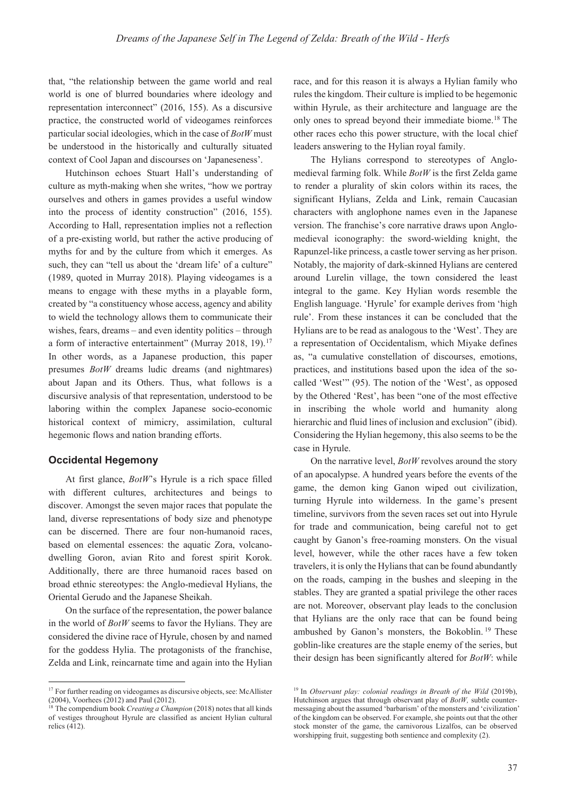that, "the relationship between the game world and real world is one of blurred boundaries where ideology and representation interconnect" (2016, 155). As a discursive practice, the constructed world of videogames reinforces particular social ideologies, which in the case of *BotW* must be understood in the historically and culturally situated context of Cool Japan and discourses on 'Japaneseness'.

Hutchinson echoes Stuart Hall's understanding of culture as myth-making when she writes, "how we portray ourselves and others in games provides a useful window into the process of identity construction" (2016, 155). According to Hall, representation implies not a reflection of a pre-existing world, but rather the active producing of myths for and by the culture from which it emerges. As such, they can "tell us about the 'dream life' of a culture" (1989, quoted in Murray 2018). Playing videogames is a means to engage with these myths in a playable form, created by "a constituency whose access, agency and ability to wield the technology allows them to communicate their wishes, fears, dreams – and even identity politics – through a form of interactive entertainment" (Murray 2018, 19).<sup>17</sup> In other words, as a Japanese production, this paper presumes *BotW* dreams ludic dreams (and nightmares) about Japan and its Others. Thus, what follows is a discursive analysis of that representation, understood to be laboring within the complex Japanese socio-economic historical context of mimicry, assimilation, cultural hegemonic flows and nation branding efforts.

## **Occidental Hegemony**

At first glance, *BotW*'s Hyrule is a rich space filled with different cultures, architectures and beings to discover. Amongst the seven major races that populate the land, diverse representations of body size and phenotype can be discerned. There are four non-humanoid races, based on elemental essences: the aquatic Zora, volcanodwelling Goron, avian Rito and forest spirit Korok. Additionally, there are three humanoid races based on broad ethnic stereotypes: the Anglo-medieval Hylians, the Oriental Gerudo and the Japanese Sheikah.

On the surface of the representation, the power balance in the world of *BotW* seems to favor the Hylians. They are considered the divine race of Hyrule, chosen by and named for the goddess Hylia. The protagonists of the franchise, Zelda and Link, reincarnate time and again into the Hylian race, and for this reason it is always a Hylian family who rules the kingdom. Their culture is implied to be hegemonic within Hyrule, as their architecture and language are the only ones to spread beyond their immediate biome.18 The other races echo this power structure, with the local chief leaders answering to the Hylian royal family.

The Hylians correspond to stereotypes of Anglomedieval farming folk. While *BotW* is the first Zelda game to render a plurality of skin colors within its races, the significant Hylians, Zelda and Link, remain Caucasian characters with anglophone names even in the Japanese version. The franchise's core narrative draws upon Anglomedieval iconography: the sword-wielding knight, the Rapunzel-like princess, a castle tower serving as her prison. Notably, the majority of dark-skinned Hylians are centered around Lurelin village, the town considered the least integral to the game. Key Hylian words resemble the English language. 'Hyrule' for example derives from 'high rule'. From these instances it can be concluded that the Hylians are to be read as analogous to the 'West'. They are a representation of Occidentalism, which Miyake defines as, "a cumulative constellation of discourses, emotions, practices, and institutions based upon the idea of the socalled 'West'" (95). The notion of the 'West', as opposed by the Othered 'Rest', has been "one of the most effective in inscribing the whole world and humanity along hierarchic and fluid lines of inclusion and exclusion" (ibid). Considering the Hylian hegemony, this also seems to be the case in Hyrule.

On the narrative level, *BotW* revolves around the story of an apocalypse. A hundred years before the events of the game, the demon king Ganon wiped out civilization, turning Hyrule into wilderness. In the game's present timeline, survivors from the seven races set out into Hyrule for trade and communication, being careful not to get caught by Ganon's free-roaming monsters. On the visual level, however, while the other races have a few token travelers, it is only the Hylians that can be found abundantly on the roads, camping in the bushes and sleeping in the stables. They are granted a spatial privilege the other races are not. Moreover, observant play leads to the conclusion that Hylians are the only race that can be found being ambushed by Ganon's monsters, the Bokoblin. 19 These goblin-like creatures are the staple enemy of the series, but their design has been significantly altered for *BotW*: while

<sup>&</sup>lt;sup>17</sup> For further reading on videogames as discursive objects, see: McAllister (2004), Voorhees (2012) and Paul (2012).

<sup>&</sup>lt;sup>18</sup> The compendium book *Creating a Champion* (2018) notes that all kinds of vestiges throughout Hyrule are classified as ancient Hylian cultural relics (412).

<sup>&</sup>lt;sup>19</sup> In *Observant play: colonial readings in Breath of the Wild* (2019b), Hutchinson argues that through observant play of *BotW,* subtle countermessaging about the assumed 'barbarism' of the monsters and 'civilization' of the kingdom can be observed. For example, she points out that the other stock monster of the game, the carnivorous Lizalfos, can be observed worshipping fruit, suggesting both sentience and complexity (2).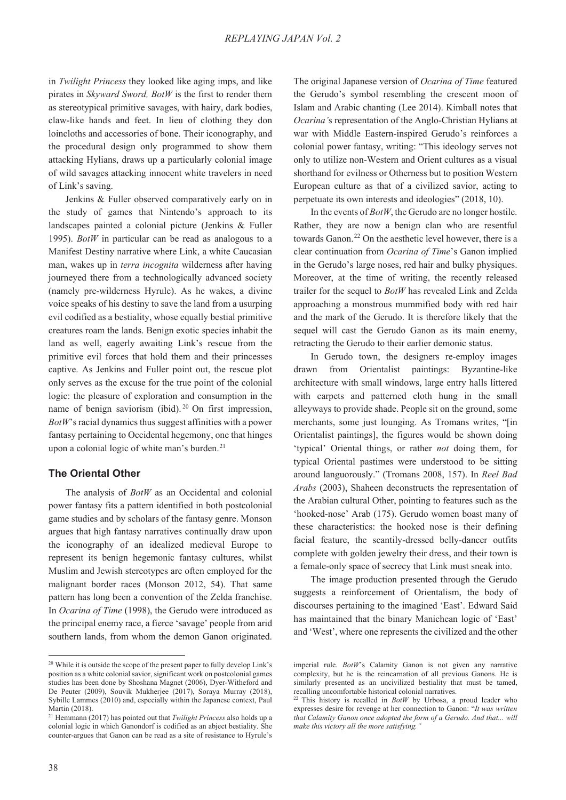in *Twilight Princess* they looked like aging imps, and like pirates in *Skyward Sword, BotW* is the first to render them as stereotypical primitive savages, with hairy, dark bodies, claw-like hands and feet. In lieu of clothing they don loincloths and accessories of bone. Their iconography, and the procedural design only programmed to show them attacking Hylians, draws up a particularly colonial image of wild savages attacking innocent white travelers in need of Link's saving.

Jenkins & Fuller observed comparatively early on in the study of games that Nintendo's approach to its landscapes painted a colonial picture (Jenkins & Fuller 1995). *BotW* in particular can be read as analogous to a Manifest Destiny narrative where Link, a white Caucasian man, wakes up in *terra incognita* wilderness after having journeyed there from a technologically advanced society (namely pre-wilderness Hyrule). As he wakes, a divine voice speaks of his destiny to save the land from a usurping evil codified as a bestiality, whose equally bestial primitive creatures roam the lands. Benign exotic species inhabit the land as well, eagerly awaiting Link's rescue from the primitive evil forces that hold them and their princesses captive. As Jenkins and Fuller point out, the rescue plot only serves as the excuse for the true point of the colonial logic: the pleasure of exploration and consumption in the name of benign saviorism (ibid). <sup>20</sup> On first impression, *BotW*'s racial dynamics thus suggest affinities with a power fantasy pertaining to Occidental hegemony, one that hinges upon a colonial logic of white man's burden.<sup>21</sup>

# **The Oriental Other**

The analysis of *BotW* as an Occidental and colonial power fantasy fits a pattern identified in both postcolonial game studies and by scholars of the fantasy genre. Monson argues that high fantasy narratives continually draw upon the iconography of an idealized medieval Europe to represent its benign hegemonic fantasy cultures, whilst Muslim and Jewish stereotypes are often employed for the malignant border races (Monson 2012, 54). That same pattern has long been a convention of the Zelda franchise. In *Ocarina of Time* (1998), the Gerudo were introduced as the principal enemy race, a fierce 'savage' people from arid southern lands, from whom the demon Ganon originated.

The original Japanese version of *Ocarina of Time* featured the Gerudo's symbol resembling the crescent moon of Islam and Arabic chanting (Lee 2014). Kimball notes that *Ocarina'*s representation of the Anglo-Christian Hylians at war with Middle Eastern-inspired Gerudo's reinforces a colonial power fantasy, writing: "This ideology serves not only to utilize non-Western and Orient cultures as a visual shorthand for evilness or Otherness but to position Western European culture as that of a civilized savior, acting to perpetuate its own interests and ideologies" (2018, 10).

In the events of *BotW*, the Gerudo are no longer hostile. Rather, they are now a benign clan who are resentful towards Ganon.<sup>22</sup> On the aesthetic level however, there is a clear continuation from *Ocarina of Time*'s Ganon implied in the Gerudo's large noses, red hair and bulky physiques. Moreover, at the time of writing, the recently released trailer for the sequel to *BotW* has revealed Link and Zelda approaching a monstrous mummified body with red hair and the mark of the Gerudo. It is therefore likely that the sequel will cast the Gerudo Ganon as its main enemy, retracting the Gerudo to their earlier demonic status.

In Gerudo town, the designers re-employ images drawn from Orientalist paintings: Byzantine-like architecture with small windows, large entry halls littered with carpets and patterned cloth hung in the small alleyways to provide shade. People sit on the ground, some merchants, some just lounging. As Tromans writes, "[in Orientalist paintings], the figures would be shown doing 'typical' Oriental things, or rather *not* doing them, for typical Oriental pastimes were understood to be sitting around languorously." (Tromans 2008, 157). In *Reel Bad Arabs* (2003), Shaheen deconstructs the representation of the Arabian cultural Other, pointing to features such as the 'hooked-nose' Arab (175). Gerudo women boast many of these characteristics: the hooked nose is their defining facial feature, the scantily-dressed belly-dancer outfits complete with golden jewelry their dress, and their town is a female-only space of secrecy that Link must sneak into.

The image production presented through the Gerudo suggests a reinforcement of Orientalism, the body of discourses pertaining to the imagined 'East'. Edward Said has maintained that the binary Manichean logic of 'East' and 'West', where one represents the civilized and the other

<sup>&</sup>lt;sup>20</sup> While it is outside the scope of the present paper to fully develop Link's position as a white colonial savior, significant work on postcolonial games studies has been done by Shoshana Magnet (2006), Dyer-Witheford and De Peuter (2009), Souvik Mukherjee (2017), Soraya Murray (2018), Sybille Lammes (2010) and, especially within the Japanese context, Paul Martin (2018).

<sup>21</sup> Hemmann (2017) has pointed out that *Twilight Princess* also holds up a colonial logic in which Ganondorf is codified as an abject bestiality. She counter-argues that Ganon can be read as a site of resistance to Hyrule's

imperial rule. *BotW*'s Calamity Ganon is not given any narrative complexity, but he is the reincarnation of all previous Ganons. He is similarly presented as an uncivilized bestiality that must be tamed, recalling uncomfortable historical colonial narratives.

<sup>&</sup>lt;sup>22</sup> This history is recalled in *BotW* by Urbosa, a proud leader who expresses desire for revenge at her connection to Ganon: "*It was written that Calamity Ganon once adopted the form of a Gerudo. And that... will make this victory all the more satisfying."*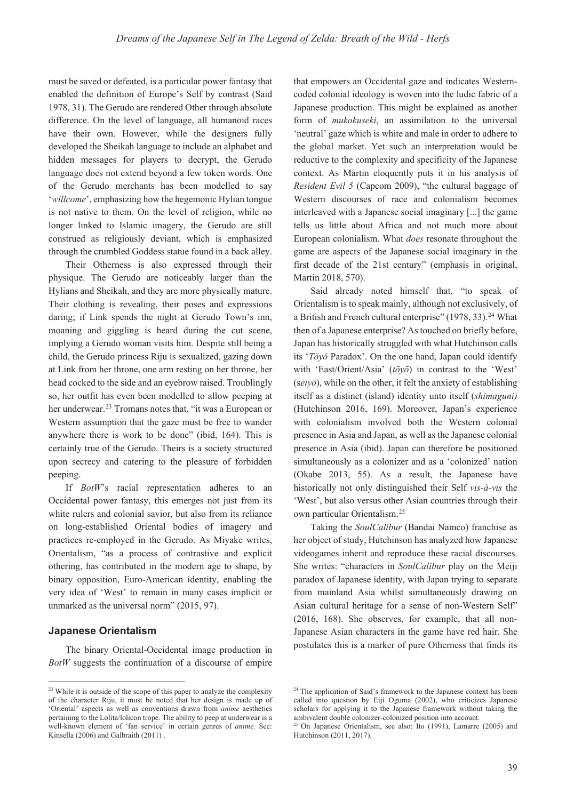must be saved or defeated, is a particular power fantasy that enabled the definition of Europe's Self by contrast (Said 1978, 31). The Gerudo are rendered Other through absolute difference. On the level of language, all humanoid races have their own. However, while the designers fully developed the Sheikah language to include an alphabet and hidden messages for players to decrypt, the Gerudo language does not extend beyond a few token words. One of the Gerudo merchants has been modelled to say '*willcome*', emphasizing how the hegemonic Hylian tongue is not native to them. On the level of religion, while no longer linked to Islamic imagery, the Gerudo are still construed as religiously deviant, which is emphasized through the crumbled Goddess statue found in a back alley.

Their Otherness is also expressed through their physique. The Gerudo are noticeably larger than the Hylians and Sheikah, and they are more physically mature. Their clothing is revealing, their poses and expressions daring; if Link spends the night at Gerudo Town's inn, moaning and giggling is heard during the cut scene, implying a Gerudo woman visits him. Despite still being a child, the Gerudo princess Riju is sexualized, gazing down at Link from her throne, one arm resting on her throne, her head cocked to the side and an eyebrow raised. Troublingly so, her outfit has even been modelled to allow peeping at her underwear.<sup>23</sup> Tromans notes that, "it was a European or Western assumption that the gaze must be free to wander anywhere there is work to be done" (ibid, 164). This is certainly true of the Gerudo. Theirs is a society structured upon secrecy and catering to the pleasure of forbidden peeping.

If *BotW*'s racial representation adheres to an Occidental power fantasy, this emerges not just from its white rulers and colonial savior, but also from its reliance on long-established Oriental bodies of imagery and practices re-employed in the Gerudo. As Miyake writes, Orientalism, "as a process of contrastive and explicit othering, has contributed in the modern age to shape, by binary opposition, Euro-American identity, enabling the very idea of 'West' to remain in many cases implicit or unmarked as the universal norm" (2015, 97).

## **Japanese Orientalism**

The binary Oriental-Occidental image production in *BotW* suggests the continuation of a discourse of empire

that empowers an Occidental gaze and indicates Westerncoded colonial ideology is woven into the ludic fabric of a Japanese production. This might be explained as another form of *mukokuseki*, an assimilation to the universal 'neutral' gaze which is white and male in order to adhere to the global market. Yet such an interpretation would be reductive to the complexity and specificity of the Japanese context. As Martin eloquently puts it in his analysis of *Resident Evil 5* (Capcom 2009), "the cultural baggage of Western discourses of race and colonialism becomes interleaved with a Japanese social imaginary [...] the game tells us little about Africa and not much more about European colonialism. What *does* resonate throughout the game are aspects of the Japanese social imaginary in the first decade of the 21st century" (emphasis in original, Martin 2018, 570).

Said already noted himself that, "to speak of Orientalism is to speak mainly, although not exclusively, of a British and French cultural enterprise" (1978, 33).<sup>24</sup> What then of a Japanese enterprise? As touched on briefly before, Japan has historically struggled with what Hutchinson calls its '*Tōyō* Paradox'. On the one hand, Japan could identify with 'East/Orient/Asia' ( $t\bar{\sigma}y\bar{\sigma}$ ) in contrast to the 'West' ( $seiv\bar{o}$ ), while on the other, it felt the anxiety of establishing itself as a distinct (island) identity unto itself (*shimaguni)* (Hutchinson 2016, 169). Moreover, Japan's experience with colonialism involved both the Western colonial presence in Asia and Japan, as well as the Japanese colonial presence in Asia (ibid). Japan can therefore be positioned simultaneously as a colonizer and as a 'colonized' nation (Okabe 2013, 55). As a result, the Japanese have historically not only distinguished their Self *vis-à-vis* the 'West', but also versus other Asian countries through their own particular Orientalism.25

Taking the *SoulCalibur* (Bandai Namco) franchise as her object of study, Hutchinson has analyzed how Japanese videogames inherit and reproduce these racial discourses. She writes: "characters in *SoulCalibur* play on the Meiji paradox of Japanese identity, with Japan trying to separate from mainland Asia whilst simultaneously drawing on Asian cultural heritage for a sense of non-Western Self" (2016, 168). She observes, for example, that all non-Japanese Asian characters in the game have red hair. She postulates this is a marker of pure Otherness that finds its

<sup>&</sup>lt;sup>23</sup> While it is outside of the scope of this paper to analyze the complexity of the character Riju, it must be noted that her design is made up of 'Oriental' aspects as well as conventions drawn from *anime* aesthetics pertaining to the Lolita/lolicon trope. The ability to peep at underwear is a well-known element of 'fan service' in certain genres of *anime.* See: Kinsella (2006) and Galbraith (2011) .

 $24$  The application of Said's framework to the Japanese context has been called into question by Eiji Oguma (2002), who criticizes Japanese scholars for applying it to the Japanese framework without taking the ambivalent double colonizer-colonized position into account.

<sup>&</sup>lt;sup>25</sup> On Japanese Orientalism, see also: Ito  $(1991)$ , Lamarre  $(2005)$  and Hutchinson (2011, 2017).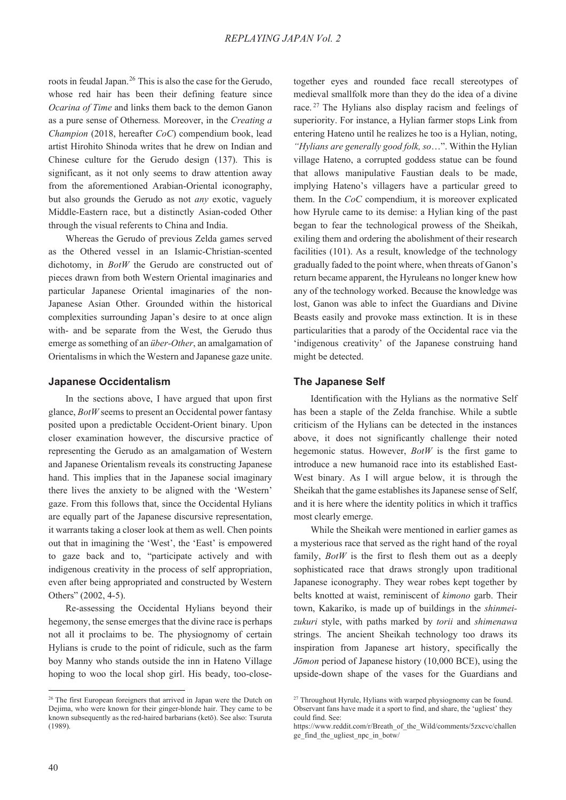roots in feudal Japan.<sup>26</sup> This is also the case for the Gerudo, whose red hair has been their defining feature since *Ocarina of Time* and links them back to the demon Ganon as a pure sense of Otherness*.* Moreover, in the *Creating a Champion* (2018, hereafter *CoC*) compendium book, lead artist Hirohito Shinoda writes that he drew on Indian and Chinese culture for the Gerudo design (137). This is significant, as it not only seems to draw attention away from the aforementioned Arabian-Oriental iconography, but also grounds the Gerudo as not *any* exotic, vaguely Middle-Eastern race, but a distinctly Asian-coded Other through the visual referents to China and India.

Whereas the Gerudo of previous Zelda games served as the Othered vessel in an Islamic-Christian-scented dichotomy, in *BotW* the Gerudo are constructed out of pieces drawn from both Western Oriental imaginaries and particular Japanese Oriental imaginaries of the non-Japanese Asian Other. Grounded within the historical complexities surrounding Japan's desire to at once align with- and be separate from the West, the Gerudo thus emerge as something of an *über-Other*, an amalgamation of Orientalisms in which the Western and Japanese gaze unite.

#### **Japanese Occidentalism**

In the sections above, I have argued that upon first glance, *BotW* seems to present an Occidental power fantasy posited upon a predictable Occident-Orient binary. Upon closer examination however, the discursive practice of representing the Gerudo as an amalgamation of Western and Japanese Orientalism reveals its constructing Japanese hand. This implies that in the Japanese social imaginary there lives the anxiety to be aligned with the 'Western' gaze. From this follows that, since the Occidental Hylians are equally part of the Japanese discursive representation, it warrants taking a closer look at them as well. Chen points out that in imagining the 'West', the 'East' is empowered to gaze back and to, "participate actively and with indigenous creativity in the process of self appropriation, even after being appropriated and constructed by Western Others" (2002, 4-5).

Re-assessing the Occidental Hylians beyond their hegemony, the sense emerges that the divine race is perhaps not all it proclaims to be. The physiognomy of certain Hylians is crude to the point of ridicule, such as the farm boy Manny who stands outside the inn in Hateno Village hoping to woo the local shop girl. His beady, too-closetogether eyes and rounded face recall stereotypes of medieval smallfolk more than they do the idea of a divine race. 27 The Hylians also display racism and feelings of superiority. For instance, a Hylian farmer stops Link from entering Hateno until he realizes he too is a Hylian, noting, *"Hylians are generally good folk, so*…". Within the Hylian village Hateno, a corrupted goddess statue can be found that allows manipulative Faustian deals to be made, implying Hateno's villagers have a particular greed to them. In the *CoC* compendium, it is moreover explicated how Hyrule came to its demise: a Hylian king of the past began to fear the technological prowess of the Sheikah, exiling them and ordering the abolishment of their research facilities (101). As a result, knowledge of the technology gradually faded to the point where, when threats of Ganon's return became apparent, the Hyruleans no longer knew how any of the technology worked. Because the knowledge was lost, Ganon was able to infect the Guardians and Divine Beasts easily and provoke mass extinction. It is in these particularities that a parody of the Occidental race via the 'indigenous creativity' of the Japanese construing hand might be detected.

## **The Japanese Self**

Identification with the Hylians as the normative Self has been a staple of the Zelda franchise. While a subtle criticism of the Hylians can be detected in the instances above, it does not significantly challenge their noted hegemonic status. However, *BotW* is the first game to introduce a new humanoid race into its established East-West binary. As I will argue below, it is through the Sheikah that the game establishes its Japanese sense of Self, and it is here where the identity politics in which it traffics most clearly emerge.

While the Sheikah were mentioned in earlier games as a mysterious race that served as the right hand of the royal family, *BotW* is the first to flesh them out as a deeply sophisticated race that draws strongly upon traditional Japanese iconography. They wear robes kept together by belts knotted at waist, reminiscent of *kimono* garb. Their town, Kakariko, is made up of buildings in the *shinmeizukuri* style, with paths marked by *torii* and *shimenawa*  strings. The ancient Sheikah technology too draws its inspiration from Japanese art history, specifically the *-ǀmon* period of Japanese history (10,000 BCE), using the upside-down shape of the vases for the Guardians and

<sup>&</sup>lt;sup>26</sup> The first European foreigners that arrived in Japan were the Dutch on Dejima, who were known for their ginger-blonde hair. They came to be known subsequently as the red-haired barbarians (ketō). See also: Tsuruta (1989).

<sup>&</sup>lt;sup>27</sup> Throughout Hyrule, Hylians with warped physiognomy can be found. Observant fans have made it a sport to find, and share, the 'ugliest' they could find. See:

https://www.reddit.com/r/Breath\_of\_the\_Wild/comments/5zxcvc/challen ge\_find\_the\_ugliest\_npc\_in\_botw/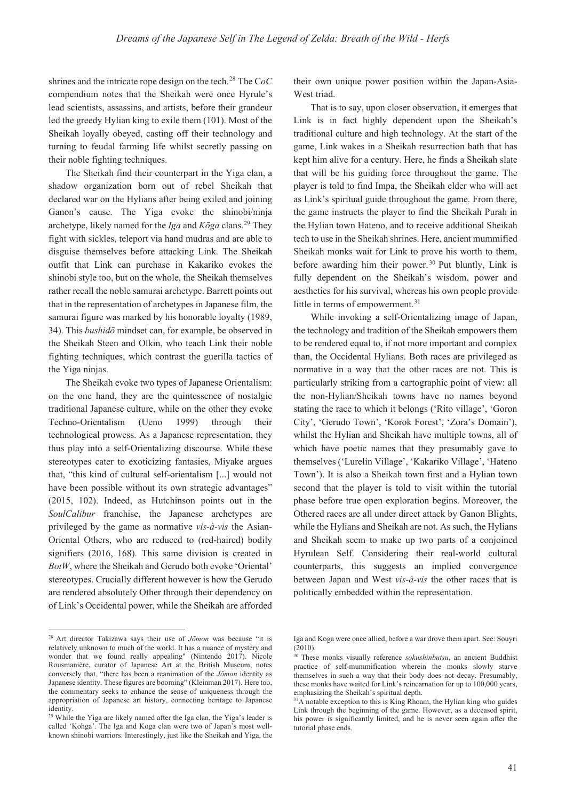shrines and the intricate rope design on the tech.28 The C*oC*  compendium notes that the Sheikah were once Hyrule's lead scientists, assassins, and artists, before their grandeur led the greedy Hylian king to exile them (101). Most of the Sheikah loyally obeyed, casting off their technology and turning to feudal farming life whilst secretly passing on their noble fighting techniques.

The Sheikah find their counterpart in the Yiga clan, a shadow organization born out of rebel Sheikah that declared war on the Hylians after being exiled and joining Ganon's cause. The Yiga evoke the shinobi/ninja archetype, likely named for the *Iga* and *Koga* clans.<sup>29</sup> They fight with sickles, teleport via hand mudras and are able to disguise themselves before attacking Link. The Sheikah outfit that Link can purchase in Kakariko evokes the shinobi style too, but on the whole, the Sheikah themselves rather recall the noble samurai archetype. Barrett points out that in the representation of archetypes in Japanese film, the samurai figure was marked by his honorable loyalty (1989, 34). This *bushido* mindset can, for example, be observed in the Sheikah Steen and Olkin, who teach Link their noble fighting techniques, which contrast the guerilla tactics of the Yiga ninjas.

The Sheikah evoke two types of Japanese Orientalism: on the one hand, they are the quintessence of nostalgic traditional Japanese culture, while on the other they evoke Techno-Orientalism (Ueno 1999) through their technological prowess. As a Japanese representation, they thus play into a self-Orientalizing discourse. While these stereotypes cater to exoticizing fantasies, Miyake argues that, "this kind of cultural self-orientalism [...] would not have been possible without its own strategic advantages" (2015, 102). Indeed, as Hutchinson points out in the *SoulCalibur* franchise, the Japanese archetypes are privileged by the game as normative *vis-à-vis* the Asian-Oriental Others, who are reduced to (red-haired) bodily signifiers (2016, 168). This same division is created in *BotW*, where the Sheikah and Gerudo both evoke 'Oriental' stereotypes. Crucially different however is how the Gerudo are rendered absolutely Other through their dependency on of Link's Occidental power, while the Sheikah are afforded

their own unique power position within the Japan-Asia-West triad.

That is to say, upon closer observation, it emerges that Link is in fact highly dependent upon the Sheikah's traditional culture and high technology. At the start of the game, Link wakes in a Sheikah resurrection bath that has kept him alive for a century. Here, he finds a Sheikah slate that will be his guiding force throughout the game. The player is told to find Impa, the Sheikah elder who will act as Link's spiritual guide throughout the game. From there, the game instructs the player to find the Sheikah Purah in the Hylian town Hateno, and to receive additional Sheikah tech to use in the Sheikah shrines. Here, ancient mummified Sheikah monks wait for Link to prove his worth to them, before awarding him their power. 30 Put bluntly, Link is fully dependent on the Sheikah's wisdom, power and aesthetics for his survival, whereas his own people provide little in terms of empowerment.<sup>31</sup>

While invoking a self-Orientalizing image of Japan, the technology and tradition of the Sheikah empowers them to be rendered equal to, if not more important and complex than, the Occidental Hylians. Both races are privileged as normative in a way that the other races are not. This is particularly striking from a cartographic point of view: all the non-Hylian/Sheikah towns have no names beyond stating the race to which it belongs ('Rito village', 'Goron City', 'Gerudo Town', 'Korok Forest', 'Zora's Domain'), whilst the Hylian and Sheikah have multiple towns, all of which have poetic names that they presumably gave to themselves ('Lurelin Village', 'Kakariko Village', 'Hateno Town'). It is also a Sheikah town first and a Hylian town second that the player is told to visit within the tutorial phase before true open exploration begins. Moreover, the Othered races are all under direct attack by Ganon Blights, while the Hylians and Sheikah are not. As such, the Hylians and Sheikah seem to make up two parts of a conjoined Hyrulean Self. Considering their real-world cultural counterparts, this suggests an implied convergence between Japan and West *vis-à-vis* the other races that is politically embedded within the representation.

<sup>&</sup>lt;sup>28</sup> Art director Takizawa says their use of *Jomon* was because "it is relatively unknown to much of the world. It has a nuance of mystery and wonder that we found really appealing" (Nintendo 2017). Nicole Rousmanière, curator of Japanese Art at the British Museum, notes conversely that, "there has been a reanimation of the *Jōmon* identity as Japanese identity. These figures are booming" (Kleinman 2017). Here too, the commentary seeks to enhance the sense of uniqueness through the appropriation of Japanese art history, connecting heritage to Japanese identity.

<sup>&</sup>lt;sup>29</sup> While the Yiga are likely named after the Iga clan, the Yiga's leader is called 'Kohga'. The Iga and Koga clan were two of Japan's most wellknown shinobi warriors. Interestingly, just like the Sheikah and Yiga, the

Iga and Koga were once allied, before a war drove them apart. See: Souyri  $(2010)$ .

<sup>30</sup> These monks visually reference *sokushinbutsu*, an ancient Buddhist practice of self-mummification wherein the monks slowly starve themselves in such a way that their body does not decay. Presumably, these monks have waited for Link's reincarnation for up to 100,000 years, emphasizing the Sheikah's spiritual depth.

 $31\text{\AA}$  notable exception to this is King Rhoam, the Hylian king who guides Link through the beginning of the game. However, as a deceased spirit, his power is significantly limited, and he is never seen again after the tutorial phase ends.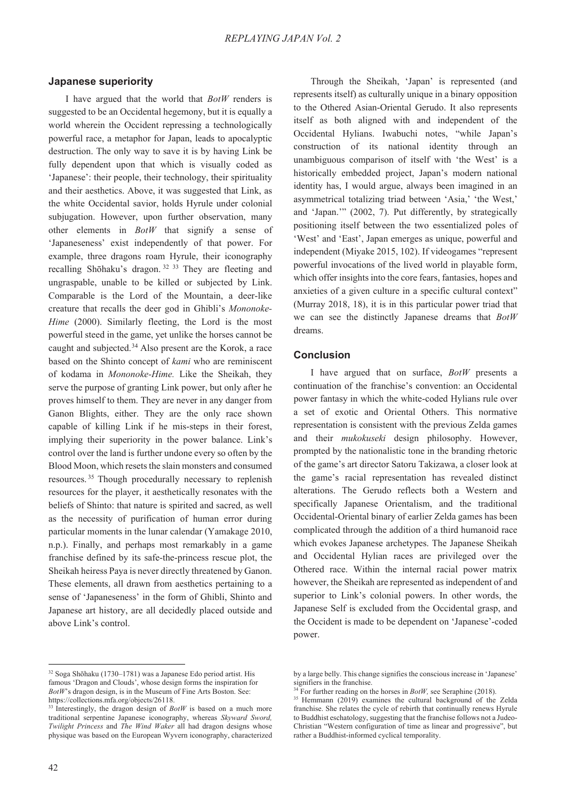#### **Japanese superiority**

I have argued that the world that *BotW* renders is suggested to be an Occidental hegemony, but it is equally a world wherein the Occident repressing a technologically powerful race, a metaphor for Japan, leads to apocalyptic destruction. The only way to save it is by having Link be fully dependent upon that which is visually coded as 'Japanese': their people, their technology, their spirituality and their aesthetics. Above, it was suggested that Link, as the white Occidental savior, holds Hyrule under colonial subjugation. However, upon further observation, many other elements in *BotW* that signify a sense of 'Japaneseness' exist independently of that power. For example, three dragons roam Hyrule, their iconography recalling Shōhaku's dragon.<sup>32 33</sup> They are fleeting and ungraspable, unable to be killed or subjected by Link. Comparable is the Lord of the Mountain, a deer-like creature that recalls the deer god in Ghibli's *Mononoke-Hime* (2000). Similarly fleeting, the Lord is the most powerful steed in the game, yet unlike the horses cannot be caught and subjected.34 Also present are the Korok, a race based on the Shinto concept of *kami* who are reminiscent of kodama in *Mononoke-Hime.* Like the Sheikah, they serve the purpose of granting Link power, but only after he proves himself to them. They are never in any danger from Ganon Blights, either. They are the only race shown capable of killing Link if he mis-steps in their forest, implying their superiority in the power balance. Link's control over the land is further undone every so often by the Blood Moon, which resets the slain monsters and consumed resources. 35 Though procedurally necessary to replenish resources for the player, it aesthetically resonates with the beliefs of Shinto: that nature is spirited and sacred, as well as the necessity of purification of human error during particular moments in the lunar calendar (Yamakage 2010, n.p.). Finally, and perhaps most remarkably in a game franchise defined by its safe-the-princess rescue plot, the Sheikah heiress Paya is never directly threatened by Ganon. These elements, all drawn from aesthetics pertaining to a sense of 'Japaneseness' in the form of Ghibli, Shinto and Japanese art history, are all decidedly placed outside and above Link's control.

Through the Sheikah, 'Japan' is represented (and represents itself) as culturally unique in a binary opposition to the Othered Asian-Oriental Gerudo. It also represents itself as both aligned with and independent of the Occidental Hylians. Iwabuchi notes, "while Japan's construction of its national identity through an unambiguous comparison of itself with 'the West' is a historically embedded project, Japan's modern national identity has, I would argue, always been imagined in an asymmetrical totalizing triad between 'Asia,' 'the West,' and 'Japan.'" (2002, 7). Put differently, by strategically positioning itself between the two essentialized poles of 'West' and 'East', Japan emerges as unique, powerful and independent (Miyake 2015, 102). If videogames "represent powerful invocations of the lived world in playable form, which offer insights into the core fears, fantasies, hopes and anxieties of a given culture in a specific cultural context" (Murray 2018, 18), it is in this particular power triad that we can see the distinctly Japanese dreams that *BotW* dreams.

#### **Conclusion**

I have argued that on surface, *BotW* presents a continuation of the franchise's convention: an Occidental power fantasy in which the white-coded Hylians rule over a set of exotic and Oriental Others. This normative representation is consistent with the previous Zelda games and their *mukokuseki* design philosophy. However, prompted by the nationalistic tone in the branding rhetoric of the game's art director Satoru Takizawa, a closer look at the game's racial representation has revealed distinct alterations. The Gerudo reflects both a Western and specifically Japanese Orientalism, and the traditional Occidental-Oriental binary of earlier Zelda games has been complicated through the addition of a third humanoid race which evokes Japanese archetypes. The Japanese Sheikah and Occidental Hylian races are privileged over the Othered race. Within the internal racial power matrix however, the Sheikah are represented as independent of and superior to Link's colonial powers. In other words, the Japanese Self is excluded from the Occidental grasp, and the Occident is made to be dependent on 'Japanese'-coded power.

 $32$  Soga Shōhaku (1730–1781) was a Japanese Edo period artist. His famous 'Dragon and Clouds', whose design forms the inspiration for *BotW*'s dragon design, is in the Museum of Fine Arts Boston. See: https://collections.mfa.org/objects/26118.

<sup>&</sup>lt;sup>33</sup> Interestingly, the dragon design of *BotW* is based on a much more traditional serpentine Japanese iconography, whereas *Skyward Sword, Twilight Princess* and *The Wind Waker* all had dragon designs whose physique was based on the European Wyvern iconography, characterized

by a large belly. This change signifies the conscious increase in 'Japanese' signifiers in the franchise.<br><sup>34</sup> For further reading on the horses in *BotW*, see Seraphine (2018).

<sup>&</sup>lt;sup>35</sup> Hemmann (2019) examines the cultural background of the Zelda franchise. She relates the cycle of rebirth that continually renews Hyrule to Buddhist eschatology, suggesting that the franchise follows not a Judeo-Christian "Western configuration of time as linear and progressive", but rather a Buddhist-informed cyclical temporality.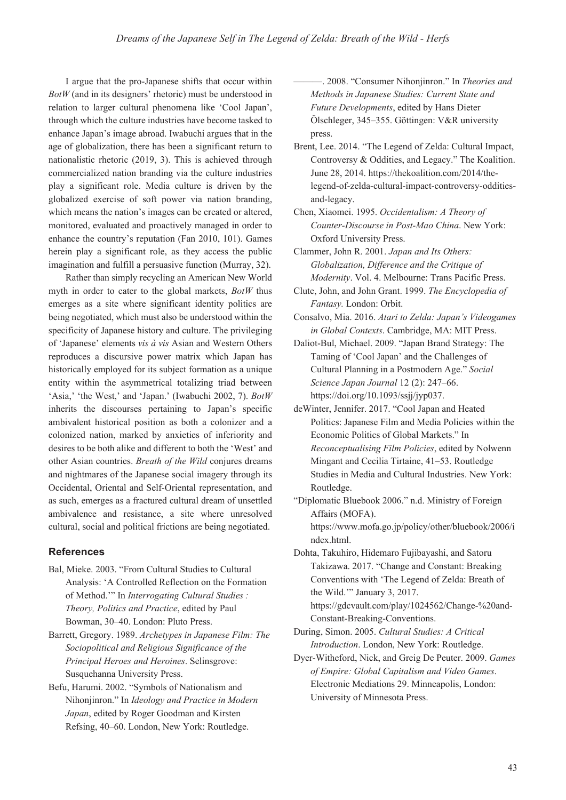I argue that the pro-Japanese shifts that occur within *BotW* (and in its designers' rhetoric) must be understood in relation to larger cultural phenomena like 'Cool Japan', through which the culture industries have become tasked to enhance Japan's image abroad. Iwabuchi argues that in the age of globalization, there has been a significant return to nationalistic rhetoric (2019, 3). This is achieved through commercialized nation branding via the culture industries play a significant role. Media culture is driven by the globalized exercise of soft power via nation branding, which means the nation's images can be created or altered, monitored, evaluated and proactively managed in order to enhance the country's reputation (Fan 2010, 101). Games herein play a significant role, as they access the public imagination and fulfill a persuasive function (Murray, 32).

Rather than simply recycling an American New World myth in order to cater to the global markets, *BotW* thus emerges as a site where significant identity politics are being negotiated, which must also be understood within the specificity of Japanese history and culture. The privileging of 'Japanese' elements *vis à vis* Asian and Western Others reproduces a discursive power matrix which Japan has historically employed for its subject formation as a unique entity within the asymmetrical totalizing triad between 'Asia,' 'the West,' and 'Japan.' (Iwabuchi 2002, 7). *BotW* inherits the discourses pertaining to Japan's specific ambivalent historical position as both a colonizer and a colonized nation, marked by anxieties of inferiority and desires to be both alike and different to both the 'West' and other Asian countries. *Breath of the Wild* conjures dreams and nightmares of the Japanese social imagery through its Occidental, Oriental and Self-Oriental representation, and as such, emerges as a fractured cultural dream of unsettled ambivalence and resistance, a site where unresolved cultural, social and political frictions are being negotiated.

## **References**

- Bal, Mieke. 2003. "From Cultural Studies to Cultural Analysis: 'A Controlled Reflection on the Formation of Method."" In *Interrogating Cultural Studies*: *Theory, Politics and Practice*, edited by Paul Bowman, 30–40. London: Pluto Press.
- Barrett, Gregory. 1989. *Archetypes in Japanese Film: The Sociopolitical and Religious Significance of the Principal Heroes and Heroines*. Selinsgrove: Susquehanna University Press.
- Befu, Harumi. 2002. "Symbols of Nationalism and Nihonjinron." In *Ideology and Practice in Modern Japan*, edited by Roger Goodman and Kirsten Refsing, 40–60. London, New York: Routledge.

———. 2008. "Consumer Nihonjinron." In *Theories and Methods in Japanese Studies: Current State and Future Developments*, edited by Hans Dieter Ölschleger, 345–355. Göttingen: V&R university press.

- Brent, Lee. 2014. "The Legend of Zelda: Cultural Impact, Controversy & Oddities, and Legacy." The Koalition. June 28, 2014. https://thekoalition.com/2014/thelegend-of-zelda-cultural-impact-controversy-odditiesand-legacy.
- Chen, Xiaomei. 1995. *Occidentalism: A Theory of Counter-Discourse in Post-Mao China*. New York: Oxford University Press.
- Clammer, John R. 2001. *Japan and Its Others: Globalization, Difference and the Critique of Modernity*. Vol. 4. Melbourne: Trans Pacific Press.
- Clute, John, and John Grant. 1999. *The Encyclopedia of Fantasy.* London: Orbit.
- Consalvo, Mia. 2016. *Atari to Zelda: Japan's Videogames in Global Contexts*. Cambridge, MA: MIT Press.
- Daliot-Bul, Michael. 2009. "Japan Brand Strategy: The Taming of 'Cool Japan' and the Challenges of Cultural Planning in a Postmodern Age." *Social Science Japan Journal* 12 (2): 247–66. https://doi.org/10.1093/ssjj/jyp037.
- deWinter, Jennifer. 2017. "Cool Japan and Heated Politics: Japanese Film and Media Policies within the Economic Politics of Global Markets." In *Reconceptualising Film Policies*, edited by Nolwenn Mingant and Cecilia Tirtaine, 41–53. Routledge Studies in Media and Cultural Industries. New York: Routledge.
- "Diplomatic Bluebook 2006." n.d. Ministry of Foreign Affairs (MOFA). https://www.mofa.go.jp/policy/other/bluebook/2006/i ndex.html.
- Dohta, Takuhiro, Hidemaro Fujibayashi, and Satoru Takizawa. 2017. "Change and Constant: Breaking Conventions with 'The Legend of Zelda: Breath of the Wild.'" January 3, 2017. https://gdcvault.com/play/1024562/Change-%20and-Constant-Breaking-Conventions.
- During, Simon. 2005. *Cultural Studies: A Critical Introduction*. London, New York: Routledge.
- Dyer-Witheford, Nick, and Greig De Peuter. 2009. *Games of Empire: Global Capitalism and Video Games*. Electronic Mediations 29. Minneapolis, London: University of Minnesota Press.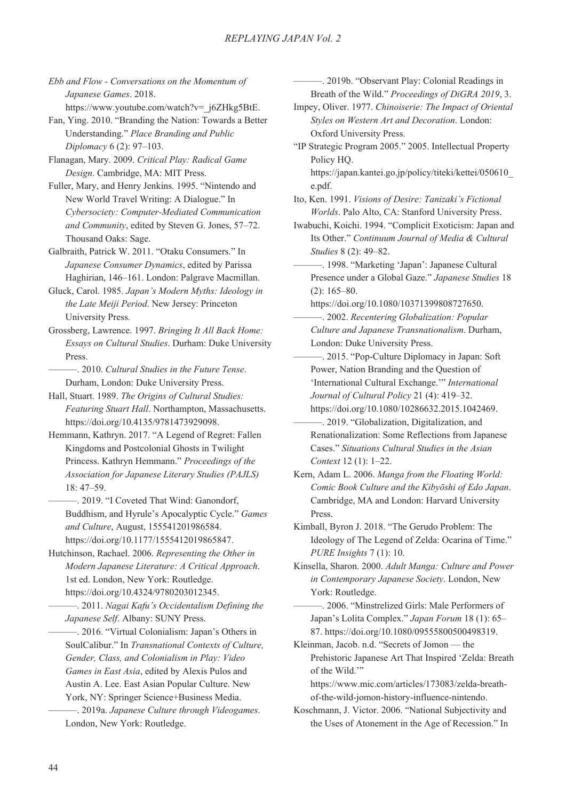*Ebb and Flow - Conversations on the Momentum of Japanese Games*. 2018. https://www.youtube.com/watch?v=\_j6ZHkg5BtE.

Fan, Ying. 2010. "Branding the Nation: Towards a Better Understanding." *Place Branding and Public Diplomacy* 6 (2): 97–103.

Flanagan, Mary. 2009. *Critical Play: Radical Game Design*. Cambridge, MA: MIT Press.

Fuller, Mary, and Henry Jenkins. 1995. "Nintendo and New World Travel Writing: A Dialogue." In *Cybersociety: Computer-Mediated Communication and Community*, edited by Steven G. Jones, 57–72. Thousand Oaks: Sage.

Galbraith, Patrick W. 2011. "Otaku Consumers." In *Japanese Consumer Dynamics*, edited by Parissa Haghirian, 146–161. London: Palgrave Macmillan.

Gluck, Carol. 1985. *Japan's Modern Myths: Ideology in the Late Meiji Period*. New Jersey: Princeton University Press.

Grossberg, Lawrence. 1997. *Bringing It All Back Home: Essays on Cultural Studies*. Durham: Duke University Press.

———. 2010. *Cultural Studies in the Future Tense*. Durham, London: Duke University Press.

Hall, Stuart. 1989. *The Origins of Cultural Studies: Featuring Stuart Hall*. Northampton, Massachusetts. https://doi.org/10.4135/9781473929098.

Hemmann, Kathryn. 2017. "A Legend of Regret: Fallen Kingdoms and Postcolonial Ghosts in Twilight Princess. Kathryn Hemmann." *Proceedings of the Association for Japanese Literary Studies (PAJLS)* 18: 47–59.

 $-$ , 2019. "I Coveted That Wind: Ganondorf, Buddhism, and Hyrule's Apocalyptic Cycle." *Games and Culture*, August, 155541201986584. https://doi.org/10.1177/1555412019865847.

Hutchinson, Rachael. 2006. *Representing the Other in Modern Japanese Literature: A Critical Approach*. 1st ed. London, New York: Routledge. https://doi.org/10.4324/9780203012345.

———. 2011. *Nagai Kafu's Occidentalism Defining the Japanese Self*. Albany: SUNY Press.

———. 2016. "Virtual Colonialism: Japan's Others in SoulCalibur." In *Transnational Contexts of Culture, Gender, Class, and Colonialism in Play: Video Games in East Asia*, edited by Alexis Pulos and Austin A. Lee. East Asian Popular Culture. New York, NY: Springer Science+Business Media.

———. 2019a. *Japanese Culture through Videogames*. London, New York: Routledge.

———. 2019b. "Observant Play: Colonial Readings in Breath of the Wild." *Proceedings of DiGRA 2019*, 3.

Impey, Oliver. 1977. *Chinoiserie: The Impact of Oriental Styles on Western Art and Decoration*. London: Oxford University Press.

"IP Strategic Program 2005." 2005. Intellectual Property Policy HQ.

https://japan.kantei.go.jp/policy/titeki/kettei/050610\_ e.pdf.

Ito, Ken. 1991. *Visions of Desire: Tanizaki's Fictional Worlds*. Palo Alto, CA: Stanford University Press.

Iwabuchi, Koichi. 1994. "Complicit Exoticism: Japan and Its Other." *Continuum Journal of Media & Cultural Studies* 8 (2): 49–82.

———. 1998. "Marketing 'Japan': Japanese Cultural Presence under a Global Gaze." *Japanese Studies* 18 (2): 165–80.

https://doi.org/10.1080/10371399808727650. ———. 2002. *Recentering Globalization: Popular Culture and Japanese Transnationalism*. Durham, London: Duke University Press.

———. 2015. "Pop-Culture Diplomacy in Japan: Soft Power, Nation Branding and the Question of 'International Cultural Exchange.'" *International Journal of Cultural Policy* 21 (4): 419–32. https://doi.org/10.1080/10286632.2015.1042469.

———. 2019. "Globalization, Digitalization, and Renationalization: Some Reflections from Japanese Cases." *Situations Cultural Studies in the Asian Context* 12 (1): 1–22.

Kern, Adam L. 2006. *Manga from the Floating World: Comic Book Culture and the Kibyoshi of Edo Japan.* Cambridge, MA and London: Harvard University Press.

Kimball, Byron J. 2018. "The Gerudo Problem: The Ideology of The Legend of Zelda: Ocarina of Time." *PURE Insights* 7 (1): 10.

Kinsella, Sharon. 2000. *Adult Manga: Culture and Power in Contemporary Japanese Society*. London, New York: Routledge.

———. 2006. "Minstrelized Girls: Male Performers of Japan's Lolita Complex." *Japan Forum* 18 (1): 65– 87. https://doi.org/10.1080/09555800500498319.

Kleinman, Jacob. n.d. "Secrets of Jomon — the Prehistoric Japanese Art That Inspired 'Zelda: Breath of the Wild."

https://www.mic.com/articles/173083/zelda-breathof-the-wild-jomon-history-influence-nintendo.

Koschmann, J. Victor. 2006. "National Subjectivity and the Uses of Atonement in the Age of Recession." In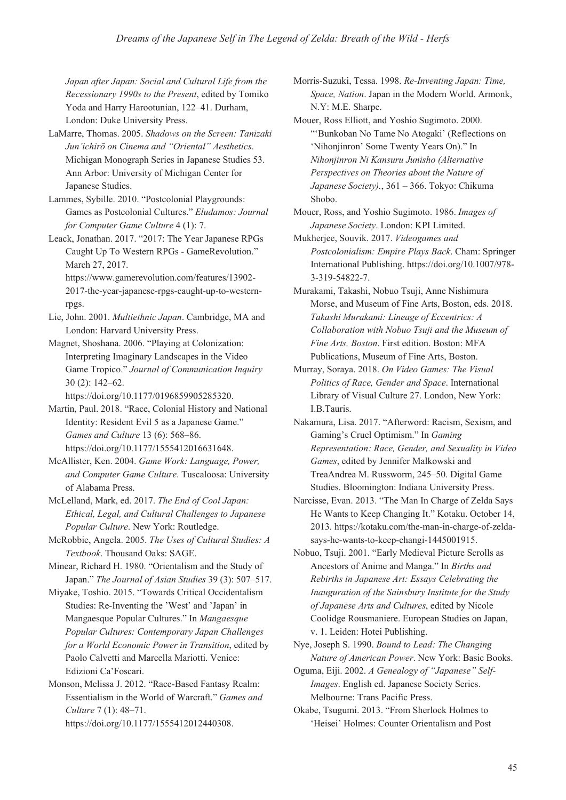*Japan after Japan: Social and Cultural Life from the Recessionary 1990s to the Present*, edited by Tomiko Yoda and Harry Harootunian, 122–41. Durham, London: Duke University Press.

- LaMarre, Thomas. 2005. *Shadows on the Screen: Tanizaki Jun'ichirō on Cinema and "Oriental" Aesthetics.* Michigan Monograph Series in Japanese Studies 53. Ann Arbor: University of Michigan Center for Japanese Studies.
- Lammes, Sybille. 2010. "Postcolonial Playgrounds: Games as Postcolonial Cultures." *Eludamos: Journal for Computer Game Culture* 4 (1): 7.
- Leack, Jonathan. 2017. "2017: The Year Japanese RPGs Caught Up To Western RPGs - GameRevolution." March 27, 2017. https://www.gamerevolution.com/features/13902- 2017-the-year-japanese-rpgs-caught-up-to-westernrpgs.
- Lie, John. 2001. *Multiethnic Japan*. Cambridge, MA and London: Harvard University Press.
- Magnet, Shoshana. 2006. "Playing at Colonization: Interpreting Imaginary Landscapes in the Video Game Tropico." *Journal of Communication Inquiry* 30 (2): 142–62.

https://doi.org/10.1177/0196859905285320.

Martin, Paul. 2018. "Race, Colonial History and National Identity: Resident Evil 5 as a Japanese Game." *Games and Culture* 13 (6): 568–86. https://doi.org/10.1177/1555412016631648.

- McAllister, Ken. 2004. *Game Work: Language, Power, and Computer Game Culture*. Tuscaloosa: University of Alabama Press.
- McLelland, Mark, ed. 2017. *The End of Cool Japan: Ethical, Legal, and Cultural Challenges to Japanese Popular Culture*. New York: Routledge.
- McRobbie, Angela. 2005. *The Uses of Cultural Studies: A Textbook*. Thousand Oaks: SAGE.
- Minear, Richard H. 1980. "Orientalism and the Study of Japan." *The Journal of Asian Studies* 39 (3): 507–517.
- Miyake, Toshio. 2015. "Towards Critical Occidentalism Studies: Re-Inventing the 'West' and 'Japan' in Mangaesque Popular Cultures." In *Mangaesque Popular Cultures: Contemporary Japan Challenges for a World Economic Power in Transition*, edited by Paolo Calvetti and Marcella Mariotti. Venice: Edizioni Ca'Foscari.

Monson, Melissa J. 2012. "Race-Based Fantasy Realm: Essentialism in the World of Warcraft." *Games and Culture* 7 (1): 48–71. https://doi.org/10.1177/1555412012440308.

Morris-Suzuki, Tessa. 1998. *Re-Inventing Japan: Time, Space, Nation*. Japan in the Modern World. Armonk, N.Y: M.E. Sharpe.

- Mouer, Ross Elliott, and Yoshio Sugimoto. 2000. "'Bunkoban No Tame No Atogaki' (Reflections on 'Nihonjinron' Some Twenty Years On)." In *Nihonjinron Ni Kansuru Junisho (Alternative Perspectives on Theories about the Nature of Japanese Society).*, 361 – 366. Tokyo: Chikuma Shobo.
- Mouer, Ross, and Yoshio Sugimoto. 1986. *Images of Japanese Society*. London: KPI Limited.
- Mukherjee, Souvik. 2017. *Videogames and Postcolonialism: Empire Plays Back*. Cham: Springer International Publishing. https://doi.org/10.1007/978- 3-319-54822-7.
- Murakami, Takashi, Nobuo Tsuji, Anne Nishimura Morse, and Museum of Fine Arts, Boston, eds. 2018. *Takashi Murakami: Lineage of Eccentrics: A Collaboration with Nobuo Tsuji and the Museum of Fine Arts, Boston*. First edition. Boston: MFA Publications, Museum of Fine Arts, Boston.
- Murray, Soraya. 2018. *On Video Games: The Visual Politics of Race, Gender and Space*. International Library of Visual Culture 27. London, New York: I.B.Tauris.
- Nakamura, Lisa. 2017. "Afterword: Racism, Sexism, and Gaming's Cruel Optimism." In *Gaming Representation: Race, Gender, and Sexuality in Video Games*, edited by Jennifer Malkowski and TreaAndrea M. Russworm, 245–50. Digital Game Studies. Bloomington: Indiana University Press.
- Narcisse, Evan. 2013. "The Man In Charge of Zelda Says He Wants to Keep Changing It." Kotaku. October 14, 2013. https://kotaku.com/the-man-in-charge-of-zeldasays-he-wants-to-keep-changi-1445001915.
- Nobuo, Tsuji. 2001. "Early Medieval Picture Scrolls as Ancestors of Anime and Manga." In *Births and Rebirths in Japanese Art: Essays Celebrating the Inauguration of the Sainsbury Institute for the Study of Japanese Arts and Cultures*, edited by Nicole Coolidge Rousmaniere. European Studies on Japan, v. 1. Leiden: Hotei Publishing.
- Nye, Joseph S. 1990. *Bound to Lead: The Changing Nature of American Power*. New York: Basic Books.
- Oguma, Eiji. 2002. *A Genealogy of "Japanese" Self-Images*. English ed. Japanese Society Series. Melbourne: Trans Pacific Press.
- Okabe, Tsugumi. 2013. "From Sherlock Holmes to 'Heisei' Holmes: Counter Orientalism and Post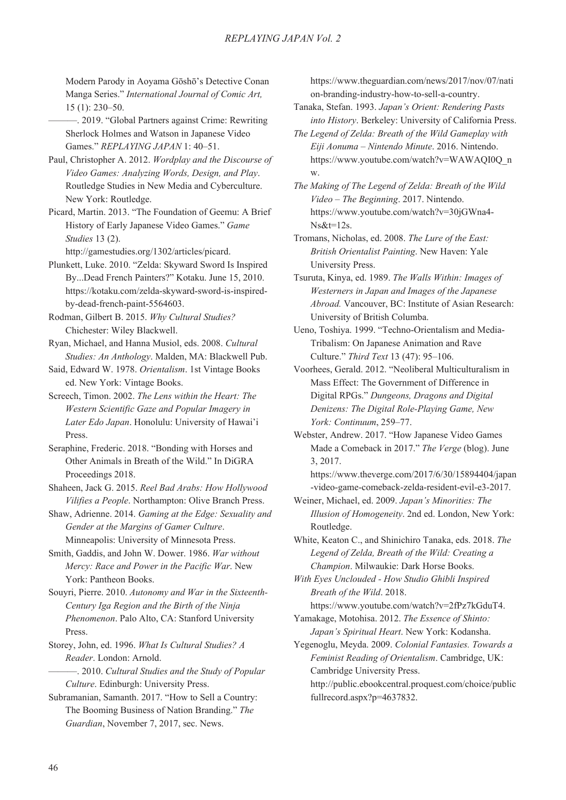Modern Parody in Aovama Gōshō's Detective Conan Manga Series." *International Journal of Comic Art,* 15 (1): 230–50.

- ———. 2019. "Global Partners against Crime: Rewriting Sherlock Holmes and Watson in Japanese Video Games." *REPLAYING JAPAN* 1: 40–51.
- Paul, Christopher A. 2012. *Wordplay and the Discourse of Video Games: Analyzing Words, Design, and Play*. Routledge Studies in New Media and Cyberculture. New York: Routledge.
- Picard, Martin. 2013. "The Foundation of Geemu: A Brief History of Early Japanese Video Games." *Game Studies* 13 (2).

http://gamestudies.org/1302/articles/picard.

- Plunkett, Luke. 2010. "Zelda: Skyward Sword Is Inspired By...Dead French Painters?" Kotaku. June 15, 2010. https://kotaku.com/zelda-skyward-sword-is-inspiredby-dead-french-paint-5564603.
- Rodman, Gilbert B. 2015. *Why Cultural Studies?* Chichester: Wiley Blackwell.
- Ryan, Michael, and Hanna Musiol, eds. 2008. *Cultural Studies: An Anthology*. Malden, MA: Blackwell Pub.
- Said, Edward W. 1978. *Orientalism*. 1st Vintage Books ed. New York: Vintage Books.
- Screech, Timon. 2002. *The Lens within the Heart: The Western Scientific Gaze and Popular Imagery in Later Edo Japan*. Honolulu: University of Hawai'i Press.
- Seraphine, Frederic. 2018. "Bonding with Horses and Other Animals in Breath of the Wild." In DiGRA Proceedings 2018.
- Shaheen, Jack G. 2015. *Reel Bad Arabs: How Hollywood Vilifies a People*. Northampton: Olive Branch Press.
- Shaw, Adrienne. 2014. *Gaming at the Edge: Sexuality and Gender at the Margins of Gamer Culture*. Minneapolis: University of Minnesota Press.
- Smith, Gaddis, and John W. Dower. 1986. *War without Mercy: Race and Power in the Pacific War*. New York: Pantheon Books.
- Souyri, Pierre. 2010. *Autonomy and War in the Sixteenth-Century Iga Region and the Birth of the Ninja Phenomenon*. Palo Alto, CA: Stanford University Press.
- Storey, John, ed. 1996. *What Is Cultural Studies? A Reader*. London: Arnold.
- ———. 2010. *Cultural Studies and the Study of Popular Culture*. Edinburgh: University Press.
- Subramanian, Samanth. 2017. "How to Sell a Country: The Booming Business of Nation Branding." *The Guardian*, November 7, 2017, sec. News.

https://www.theguardian.com/news/2017/nov/07/nati on-branding-industry-how-to-sell-a-country.

- Tanaka, Stefan. 1993. *Japan's Orient: Rendering Pasts into History*. Berkeley: University of California Press.
- *The Legend of Zelda: Breath of the Wild Gameplay with Eiji Aonuma – Nintendo Minute*. 2016. Nintendo. https://www.youtube.com/watch?v=WAWAQI0Q\_n w.
- *The Making of The Legend of Zelda: Breath of the Wild Video – The Beginning*. 2017. Nintendo. https://www.youtube.com/watch?v=30jGWna4- Ns&t=12s.
- Tromans, Nicholas, ed. 2008. *The Lure of the East: British Orientalist Painting*. New Haven: Yale University Press.
- Tsuruta, Kinya, ed. 1989. *The Walls Within: Images of Westerners in Japan and Images of the Japanese Abroad.* Vancouver, BC: Institute of Asian Research: University of British Columba.
- Ueno, Toshiya. 1999. "Techno-Orientalism and Media-Tribalism: On Japanese Animation and Rave Culture." *Third Text* 13 (47): 95–106.
- Voorhees, Gerald. 2012. "Neoliberal Multiculturalism in Mass Effect: The Government of Difference in Digital RPGs." *Dungeons, Dragons and Digital Denizens: The Digital Role-Playing Game, New York: Continuum*, 259–77.
- Webster, Andrew. 2017. "How Japanese Video Games Made a Comeback in 2017." *The Verge* (blog). June 3, 2017.

https://www.theverge.com/2017/6/30/15894404/japan -video-game-comeback-zelda-resident-evil-e3-2017.

- Weiner, Michael, ed. 2009. *Japan's Minorities: The Illusion of Homogeneity*. 2nd ed. London, New York: Routledge.
- White, Keaton C., and Shinichiro Tanaka, eds. 2018. *The Legend of Zelda, Breath of the Wild: Creating a Champion*. Milwaukie: Dark Horse Books.

*With Eyes Unclouded - How Studio Ghibli Inspired Breath of the Wild*. 2018.

- https://www.youtube.com/watch?v=2fPz7kGduT4. Yamakage, Motohisa. 2012. *The Essence of Shinto:*
- *Japan's Spiritual Heart*. New York: Kodansha.

Yegenoglu, Meyda. 2009. *Colonial Fantasies. Towards a Feminist Reading of Orientalism*. Cambridge, UK: Cambridge University Press.

http://public.ebookcentral.proquest.com/choice/public fullrecord.aspx?p=4637832.